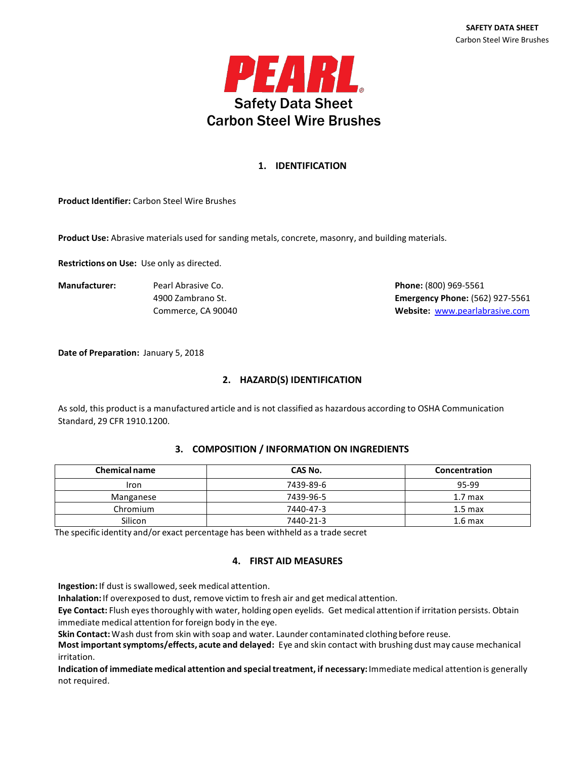

# **1. IDENTIFICATION**

**Product Identifier:** Carbon Steel Wire Brushes

**Product Use:** Abrasive materials used for sanding metals, concrete, masonry, and building materials.

**Restrictions on Use:** Use only as directed.

**Manufacturer:** Pearl Abrasive Co. **Phone:** (800) 969-5561

4900 Zambrano St. **Emergency Phone:** (562) 927-5561 Commerce, CA 90040 **Website:** [www.pearlabrasive.com](http://www.pearlabrasive.com/)

**Date of Preparation:** January 5, 2018

# **2. HAZARD(S) IDENTIFICATION**

As sold, this product is a manufactured article and is not classified as hazardous according to OSHA Communication Standard, 29 CFR 1910.1200.

#### **3. COMPOSITION / INFORMATION ON INGREDIENTS**

| <b>Chemical name</b> | CAS No.   | Concentration      |
|----------------------|-----------|--------------------|
| Iron                 | 7439-89-6 | 95-99              |
| Manganese            | 7439-96-5 | 1.7 <sub>max</sub> |
| Chromium             | 7440-47-3 | 1.5 <sub>max</sub> |
| Silicon              | 7440-21-3 | 1.6 <sub>max</sub> |

The specific identity and/or exact percentage has been withheld as a trade secret

# **4. FIRST AID MEASURES**

**Ingestion:** If dust is swallowed, seek medical attention.

**Inhalation:** If overexposed to dust, remove victim to fresh air and get medical attention.

**Eye Contact:** Flush eyes thoroughly with water, holding open eyelids. Get medical attention if irritation persists. Obtain immediate medical attention for foreign body in the eye.

**Skin Contact:**Wash dust from skin with soap and water. Launder contaminated clothing before reuse.

**Most importantsymptoms/effects, acute and delayed:** Eye and skin contact with brushing dust may cause mechanical irritation.

**Indication of immediate medical attention and specialtreatment, if necessary:**Immediate medical attention is generally not required.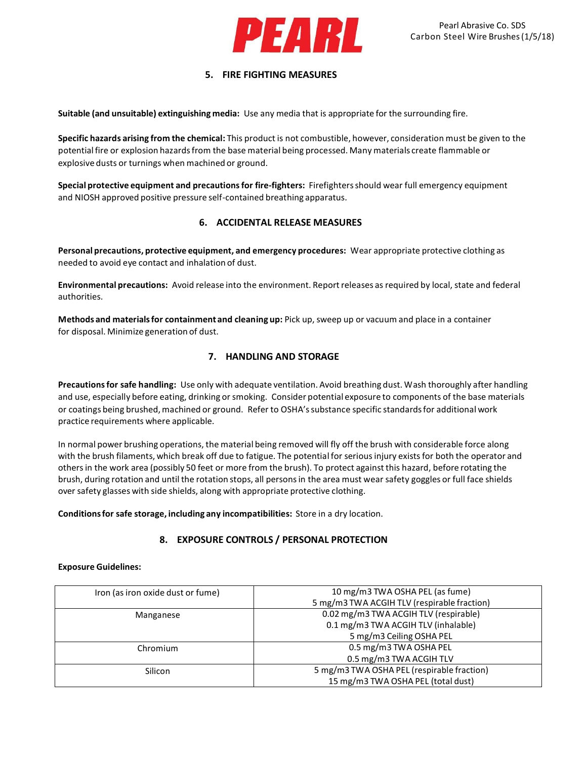

### **5. FIRE FIGHTING MEASURES**

**Suitable (and unsuitable) extinguishing media:** Use any media that is appropriate for the surrounding fire.

**Specific hazards arising from the chemical:** This product is not combustible, however, consideration must be given to the potential fire or explosion hazards from the base material being processed. Many materials create flammable or explosive dusts or turnings when machined or ground.

**Special protective equipment and precautionsfor fire-fighters:** Firefightersshould wear full emergency equipment and NIOSH approved positive pressure self-contained breathing apparatus.

# **6. ACCIDENTAL RELEASE MEASURES**

**Personal precautions, protective equipment, and emergency procedures:** Wear appropriate protective clothing as needed to avoid eye contact and inhalation of dust.

**Environmental precautions:** Avoid release into the environment. Reportreleases as required by local, state and federal authorities.

**Methods and materialsfor containment and cleaning up:** Pick up, sweep up or vacuum and place in a container for disposal. Minimize generation of dust.

# **7. HANDLING AND STORAGE**

**Precautionsfor safe handling:** Use only with adequate ventilation. Avoid breathing dust. Wash thoroughly after handling and use, especially before eating, drinking or smoking. Consider potential exposure to components of the base materials or coatings being brushed, machined or ground. Refer to OSHA's substance specific standards for additional work practice requirements where applicable.

In normal power brushing operations, the material being removed will fly off the brush with considerable force along with the brush filaments, which break off due to fatigue. The potential for serious injury exists for both the operator and othersin the work area (possibly 50 feet or more from the brush). To protect against this hazard, before rotating the brush, during rotation and until the rotation stops, all personsin the area must wear safety goggles or full face shields over safety glasses with side shields, along with appropriate protective clothing.

**Conditionsfor safe storage, including any incompatibilities:** Store in a dry location.

# **8. EXPOSURE CONTROLS / PERSONAL PROTECTION**

#### **Exposure Guidelines:**

| Iron (as iron oxide dust or fume) | 10 mg/m3 TWA OSHA PEL (as fume)             |
|-----------------------------------|---------------------------------------------|
|                                   | 5 mg/m3 TWA ACGIH TLV (respirable fraction) |
| Manganese                         | 0.02 mg/m3 TWA ACGIH TLV (respirable)       |
|                                   | 0.1 mg/m3 TWA ACGIH TLV (inhalable)         |
|                                   | 5 mg/m3 Ceiling OSHA PEL                    |
| Chromium                          | 0.5 mg/m3 TWA OSHA PEL                      |
|                                   | 0.5 mg/m3 TWA ACGIH TLV                     |
| Silicon                           | 5 mg/m3 TWA OSHA PEL (respirable fraction)  |
|                                   | 15 mg/m3 TWA OSHA PEL (total dust)          |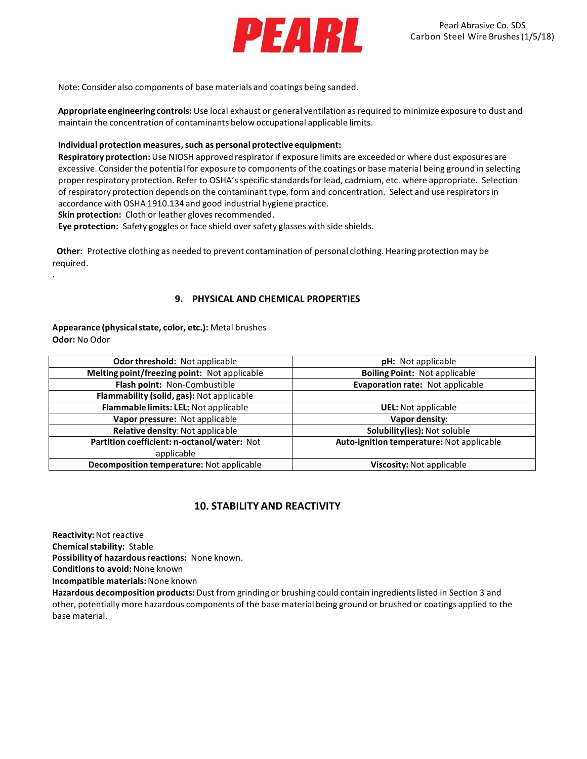

Note: Consider also components of base materials and coatings being sanded.

**Appropriate engineering controls:** Use local exhaust or general ventilation as required to minimize exposure to dust and maintain the concentration of contaminants below occupational applicable limits.

#### **Individual protection measures, such as personal protective equipment:**

**Respiratory protection:**Use NIOSH approved respiratorif exposure limits are exceeded or where dust exposures are excessive. Considerthe potentialfor exposure to components of the coatings or base material being ground in selecting proper respiratory protection. Refer to OSHA'sspecific standardsfor lead, cadmium, etc. where appropriate. Selection of respiratory protection depends on the contaminant type, form and concentration. Select and use respiratorsin accordance with OSHA 1910.134 and good industrial hygiene practice. **Skin protection:** Cloth or leather gloves recommended.

**Eye protection:** Safety goggles or face shield oversafety glasses with side shields.

**Other:** Protective clothing as needed to prevent contamination of personal clothing. Hearing protectionmay be required.

### **9. PHYSICAL AND CHEMICAL PROPERTIES**

**Appearance (physicalstate, color, etc.):** Metal brushes **Odor:** No Odor

| Odor threshold: Not applicable               | <b>pH:</b> Not applicable                 |
|----------------------------------------------|-------------------------------------------|
| Melting point/freezing point: Not applicable | <b>Boiling Point: Not applicable</b>      |
| Flash point: Non-Combustible                 | Evaporation rate: Not applicable          |
| Flammability (solid, gas): Not applicable    |                                           |
| Flammable limits: LEL: Not applicable        | <b>UEL:</b> Not applicable                |
| Vapor pressure: Not applicable               | Vapor density:                            |
| Relative density: Not applicable             | Solubility(ies): Not soluble              |
| Partition coefficient: n-octanol/water: Not  | Auto-ignition temperature: Not applicable |
| applicable                                   |                                           |
| Decomposition temperature: Not applicable    | Viscosity: Not applicable                 |

# **10. STABILITY AND REACTIVITY**

**Reactivity:**Not reactive

.

**Chemicalstability:** Stable

**Possibility of hazardousreactions:** None known.

**Conditionsto avoid:** None known

**Incompatible materials:**None known

**Hazardous decomposition products:** Dust from grinding or brushing could contain ingredientslisted in Section 3 and other, potentially more hazardous components of the base material being ground or brushed or coatings applied to the base material.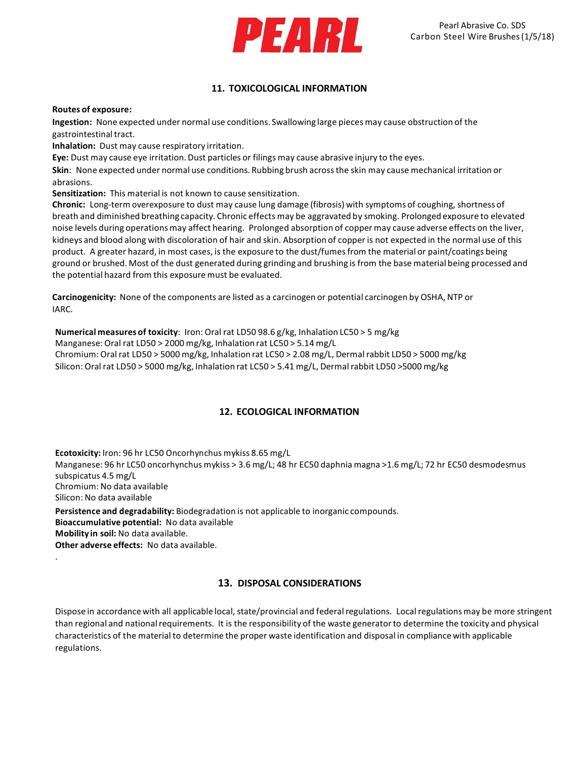

# **11. TOXICOLOGICAL INFORMATION**

#### **Routes of exposure:**

**Ingestion:** None expected under normal use conditions. Swallowing large pieces may cause obstruction of the gastrointestinal tract.

**Inhalation:** Dust may cause respiratory irritation.

**Eye:** Dust may cause eye irritation. Dust particles or filings may cause abrasive injury to the eyes.

**Skin**: None expected under normal use conditions. Rubbing brush acrossthe skin may cause mechanical irritation or abrasions.

**Sensitization:** This material is not known to cause sensitization.

**Chronic:** Long-term overexposure to dust may cause lung damage (fibrosis) with symptoms of coughing, shortness of breath and diminished breathing capacity. Chronic effects may be aggravated by smoking. Prolonged exposure to elevated noise levels during operationsmay affect hearing. Prolonged absorption of copper may cause adverse effects on the liver, kidneys and blood along with discoloration of hair and skin. Absorption of copper is not expected in the normal use of this product. A greater hazard, in most cases, is the exposure to the dust/fumesfrom the material or paint/coatings being ground or brushed. Most of the dust generated during grinding and brushing is from the base material being processed and the potential hazard from this exposure must be evaluated.

**Carcinogenicity:** None of the components are listed as a carcinogen or potential carcinogen by OSHA, NTP or IARC.

### **Numerical measuresof toxicity**: Iron: Oral rat LD50 98.6 g/kg, Inhalation LC50 > 5 mg/kg

Manganese: Oral rat LD50 > 2000 mg/kg, Inhalation rat LC50 > 5.14 mg/L Chromium: Oral rat LD50 > 5000 mg/kg, Inhalation rat LC50 > 2.08 mg/L, Dermalrabbit LD50 > 5000 mg/kg Silicon: Oral rat LD50 > 5000 mg/kg, Inhalation rat LC50 > 5.41 mg/L, Dermalrabbit LD50 >5000 mg/kg

# **12. ECOLOGICAL INFORMATION**

**Ecotoxicity:** Iron: 96 hr LC50 Oncorhynchus mykiss 8.65 mg/L Manganese: 96 hr LC50 oncorhynchus mykiss > 3.6 mg/L; 48 hr EC50 daphnia magna >1.6 mg/L; 72 hr EC50 desmodesmus subspicatus 4.5 mg/L Chromium: No data available Silicon: No data available **Persistence and degradability:** Biodegradation is not applicable to inorganic compounds. **Bioaccumulative potential:** No data available **Mobility in soil:** No data available. **Other adverse effects:** No data available. .

# **13. DISPOSAL CONSIDERATIONS**

Dispose in accordance with all applicable local, state/provincial and federal regulations. Local regulations may be more stringent than regional and nationalrequirements. It is the responsibility of the waste generatorto determine the toxicity and physical characteristics of the material to determine the proper waste identification and disposal in compliance with applicable regulations.